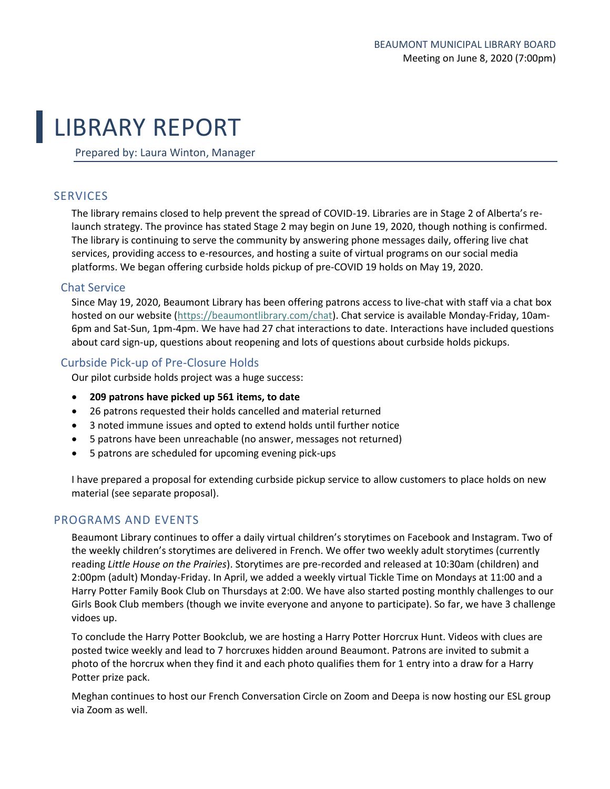# LIBRARY REPORT

Prepared by: Laura Winton, Manager

# **SERVICES**

The library remains closed to help prevent the spread of COVID-19. Libraries are in Stage 2 of Alberta's relaunch strategy. The province has stated Stage 2 may begin on June 19, 2020, though nothing is confirmed. The library is continuing to serve the community by answering phone messages daily, offering live chat services, providing access to e-resources, and hosting a suite of virtual programs on our social media platforms. We began offering curbside holds pickup of pre-COVID 19 holds on May 19, 2020.

## Chat Service

Since May 19, 2020, Beaumont Library has been offering patrons access to live-chat with staff via a chat box hosted on our website [\(https://beaumontlibrary.com/chat\)](https://beaumontlibrary.com/chat). Chat service is available Monday-Friday, 10am-6pm and Sat-Sun, 1pm-4pm. We have had 27 chat interactions to date. Interactions have included questions about card sign-up, questions about reopening and lots of questions about curbside holds pickups.

## Curbside Pick-up of Pre-Closure Holds

Our pilot curbside holds project was a huge success:

- **209 patrons have picked up 561 items, to date**
- 26 patrons requested their holds cancelled and material returned
- 3 noted immune issues and opted to extend holds until further notice
- 5 patrons have been unreachable (no answer, messages not returned)
- 5 patrons are scheduled for upcoming evening pick-ups

I have prepared a proposal for extending curbside pickup service to allow customers to place holds on new material (see separate proposal).

# PROGRAMS AND EVENTS

Beaumont Library continues to offer a daily virtual children's storytimes on Facebook and Instagram. Two of the weekly children's storytimes are delivered in French. We offer two weekly adult storytimes (currently reading *Little House on the Prairies*). Storytimes are pre-recorded and released at 10:30am (children) and 2:00pm (adult) Monday-Friday. In April, we added a weekly virtual Tickle Time on Mondays at 11:00 and a Harry Potter Family Book Club on Thursdays at 2:00. We have also started posting monthly challenges to our Girls Book Club members (though we invite everyone and anyone to participate). So far, we have 3 challenge vidoes up.

To conclude the Harry Potter Bookclub, we are hosting a Harry Potter Horcrux Hunt. Videos with clues are posted twice weekly and lead to 7 horcruxes hidden around Beaumont. Patrons are invited to submit a photo of the horcrux when they find it and each photo qualifies them for 1 entry into a draw for a Harry Potter prize pack.

Meghan continues to host our French Conversation Circle on Zoom and Deepa is now hosting our ESL group via Zoom as well.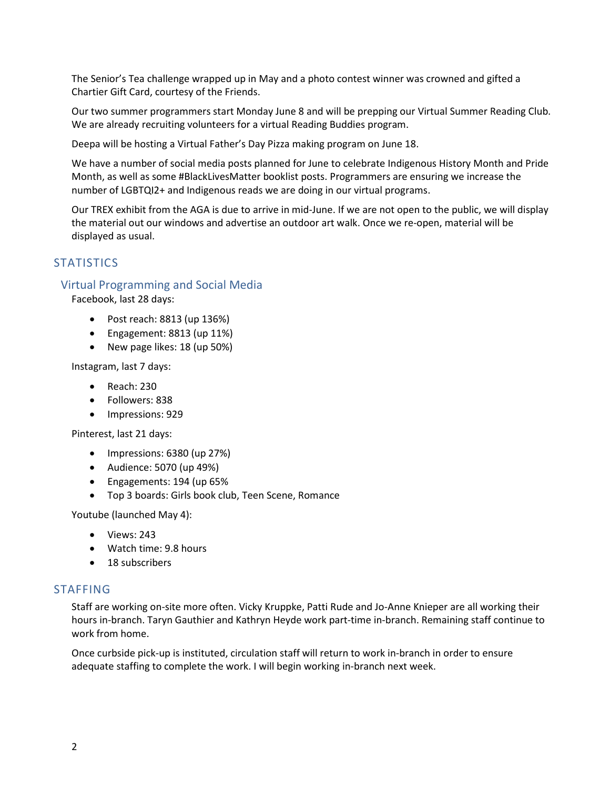The Senior's Tea challenge wrapped up in May and a photo contest winner was crowned and gifted a Chartier Gift Card, courtesy of the Friends.

Our two summer programmers start Monday June 8 and will be prepping our Virtual Summer Reading Club. We are already recruiting volunteers for a virtual Reading Buddies program.

Deepa will be hosting a Virtual Father's Day Pizza making program on June 18.

We have a number of social media posts planned for June to celebrate Indigenous History Month and Pride Month, as well as some #BlackLivesMatter booklist posts. Programmers are ensuring we increase the number of LGBTQI2+ and Indigenous reads we are doing in our virtual programs.

Our TREX exhibit from the AGA is due to arrive in mid-June. If we are not open to the public, we will display the material out our windows and advertise an outdoor art walk. Once we re-open, material will be displayed as usual.

# **STATISTICS**

## Virtual Programming and Social Media

Facebook, last 28 days:

- Post reach: 8813 (up 136%)
- Engagement: 8813 (up 11%)
- New page likes: 18 (up 50%)

Instagram, last 7 days:

- Reach: 230
- Followers: 838
- Impressions: 929

Pinterest, last 21 days:

- Impressions: 6380 (up 27%)
- Audience: 5070 (up 49%)
- Engagements: 194 (up 65%
- Top 3 boards: Girls book club, Teen Scene, Romance

Youtube (launched May 4):

- Views: 243
- Watch time: 9.8 hours
- 18 subscribers

#### STAFFING

Staff are working on-site more often. Vicky Kruppke, Patti Rude and Jo-Anne Knieper are all working their hours in-branch. Taryn Gauthier and Kathryn Heyde work part-time in-branch. Remaining staff continue to work from home.

Once curbside pick-up is instituted, circulation staff will return to work in-branch in order to ensure adequate staffing to complete the work. I will begin working in-branch next week.